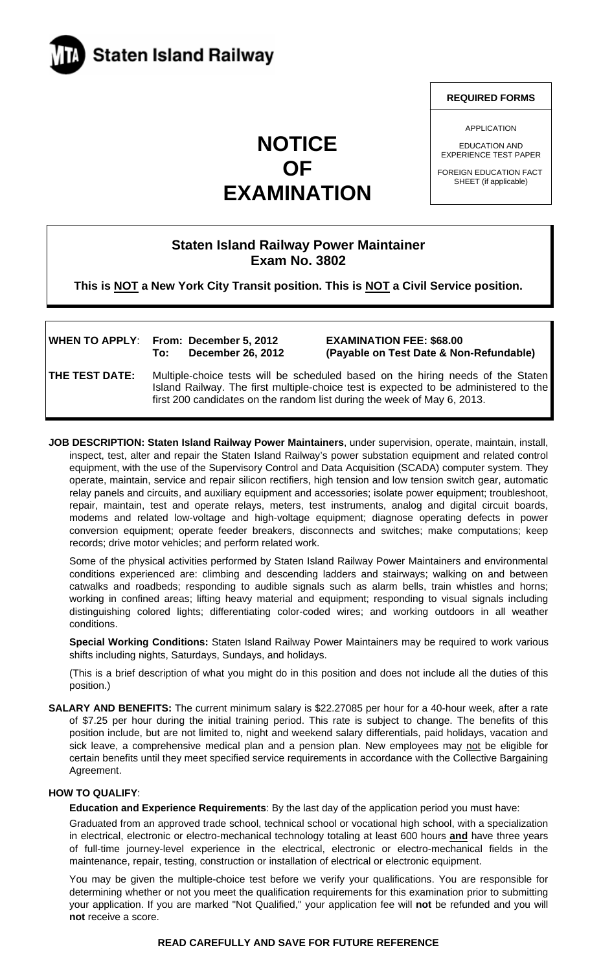

# **NOTICE OF EXAMINATION**

#### **REQUIRED FORMS**

APPLICATION

EDUCATION AND EXPERIENCE TEST PAPER

FOREIGN EDUCATION FACT SHEET (if applicable)

# **Staten Island Railway Power Maintainer Exam No. 3802**

**This is NOT a New York City Transit position. This is NOT a Civil Service position.** 

|                       | <b>WHEN TO APPLY: From: December 5, 2012</b><br><b>December 26, 2012</b><br>To:                                                                                                                                                                    | <b>EXAMINATION FEE: \$68.00</b><br>(Payable on Test Date & Non-Refundable) |
|-----------------------|----------------------------------------------------------------------------------------------------------------------------------------------------------------------------------------------------------------------------------------------------|----------------------------------------------------------------------------|
| <b>THE TEST DATE:</b> | Multiple-choice tests will be scheduled based on the hiring needs of the Staten<br>Island Railway. The first multiple-choice test is expected to be administered to the<br>first 200 candidates on the random list during the week of May 6, 2013. |                                                                            |

**JOB DESCRIPTION: Staten Island Railway Power Maintainers**, under supervision, operate, maintain, install, inspect, test, alter and repair the Staten Island Railway's power substation equipment and related control equipment, with the use of the Supervisory Control and Data Acquisition (SCADA) computer system. They operate, maintain, service and repair silicon rectifiers, high tension and low tension switch gear, automatic relay panels and circuits, and auxiliary equipment and accessories; isolate power equipment; troubleshoot, repair, maintain, test and operate relays, meters, test instruments, analog and digital circuit boards, modems and related low-voltage and high-voltage equipment; diagnose operating defects in power conversion equipment; operate feeder breakers, disconnects and switches; make computations; keep records; drive motor vehicles; and perform related work.

Some of the physical activities performed by Staten Island Railway Power Maintainers and environmental conditions experienced are: climbing and descending ladders and stairways; walking on and between catwalks and roadbeds; responding to audible signals such as alarm bells, train whistles and horns; working in confined areas; lifting heavy material and equipment; responding to visual signals including distinguishing colored lights; differentiating color-coded wires; and working outdoors in all weather conditions.

**Special Working Conditions:** Staten Island Railway Power Maintainers may be required to work various shifts including nights, Saturdays, Sundays, and holidays.

(This is a brief description of what you might do in this position and does not include all the duties of this position.)

**SALARY AND BENEFITS:** The current minimum salary is \$22.27085 per hour for a 40-hour week, after a rate of \$7.25 per hour during the initial training period. This rate is subject to change. The benefits of this position include, but are not limited to, night and weekend salary differentials, paid holidays, vacation and sick leave, a comprehensive medical plan and a pension plan. New employees may not be eligible for certain benefits until they meet specified service requirements in accordance with the Collective Bargaining Agreement.

### **HOW TO QUALIFY**:

**Education and Experience Requirements**: By the last day of the application period you must have:

Graduated from an approved trade school, technical school or vocational high school, with a specialization in electrical, electronic or electro-mechanical technology totaling at least 600 hours **and** have three years of full-time journey-level experience in the electrical, electronic or electro-mechanical fields in the maintenance, repair, testing, construction or installation of electrical or electronic equipment.

You may be given the multiple-choice test before we verify your qualifications. You are responsible for determining whether or not you meet the qualification requirements for this examination prior to submitting your application. If you are marked "Not Qualified," your application fee will **not** be refunded and you will **not** receive a score.

# **READ CAREFULLY AND SAVE FOR FUTURE REFERENCE**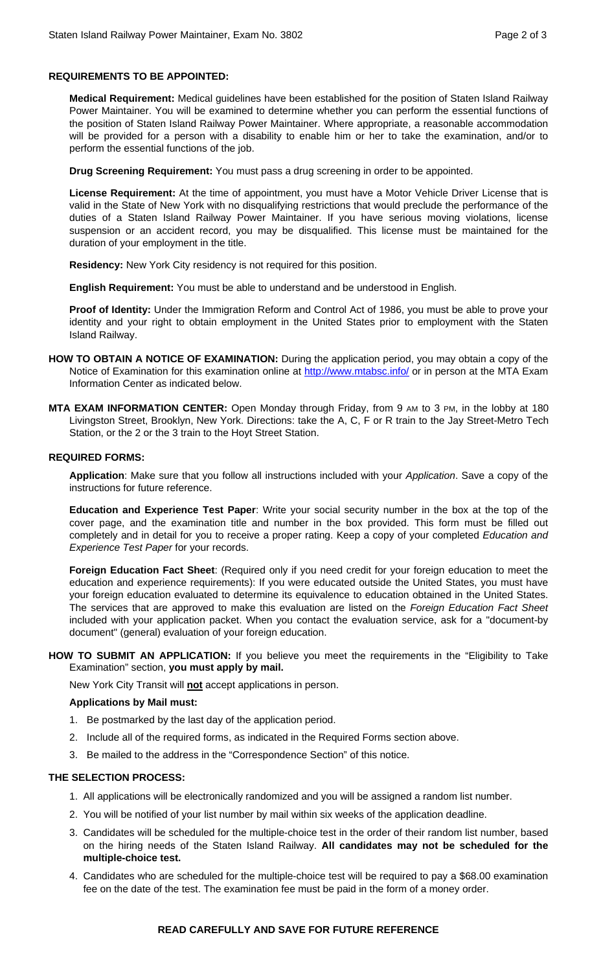## **REQUIREMENTS TO BE APPOINTED:**

**Medical Requirement:** Medical guidelines have been established for the position of Staten Island Railway Power Maintainer. You will be examined to determine whether you can perform the essential functions of the position of Staten Island Railway Power Maintainer. Where appropriate, a reasonable accommodation will be provided for a person with a disability to enable him or her to take the examination, and/or to perform the essential functions of the job.

**Drug Screening Requirement:** You must pass a drug screening in order to be appointed.

**License Requirement:** At the time of appointment, you must have a Motor Vehicle Driver License that is valid in the State of New York with no disqualifying restrictions that would preclude the performance of the duties of a Staten Island Railway Power Maintainer. If you have serious moving violations, license suspension or an accident record, you may be disqualified. This license must be maintained for the duration of your employment in the title.

**Residency:** New York City residency is not required for this position.

**English Requirement:** You must be able to understand and be understood in English.

**Proof of Identity:** Under the Immigration Reform and Control Act of 1986, you must be able to prove your identity and your right to obtain employment in the United States prior to employment with the Staten Island Railway.

- **HOW TO OBTAIN A NOTICE OF EXAMINATION:** During the application period, you may obtain a copy of the Notice of Examination for this examination online at http://www.mtabsc.info/ or in person at the MTA Exam Information Center as indicated below.
- **MTA EXAM INFORMATION CENTER:** Open Monday through Friday, from 9 AM to 3 PM, in the lobby at 180 Livingston Street, Brooklyn, New York. Directions: take the A, C, F or R train to the Jay Street-Metro Tech Station, or the 2 or the 3 train to the Hoyt Street Station.

#### **REQUIRED FORMS:**

**Application**: Make sure that you follow all instructions included with your *Application*. Save a copy of the instructions for future reference.

**Education and Experience Test Paper**: Write your social security number in the box at the top of the cover page, and the examination title and number in the box provided. This form must be filled out completely and in detail for you to receive a proper rating. Keep a copy of your completed *Education and Experience Test Paper* for your records.

**Foreign Education Fact Sheet**: (Required only if you need credit for your foreign education to meet the education and experience requirements): If you were educated outside the United States, you must have your foreign education evaluated to determine its equivalence to education obtained in the United States. The services that are approved to make this evaluation are listed on the *Foreign Education Fact Sheet* included with your application packet. When you contact the evaluation service, ask for a "document-by document" (general) evaluation of your foreign education.

**HOW TO SUBMIT AN APPLICATION:** If you believe you meet the requirements in the "Eligibility to Take Examination" section, **you must apply by mail.**

New York City Transit will **not** accept applications in person.

### **Applications by Mail must:**

- 1. Be postmarked by the last day of the application period.
- 2. Include all of the required forms, as indicated in the Required Forms section above.
- 3. Be mailed to the address in the "Correspondence Section" of this notice.

### **THE SELECTION PROCESS:**

- 1. All applications will be electronically randomized and you will be assigned a random list number.
- 2. You will be notified of your list number by mail within six weeks of the application deadline.
- 3. Candidates will be scheduled for the multiple-choice test in the order of their random list number, based on the hiring needs of the Staten Island Railway. **All candidates may not be scheduled for the multiple-choice test.**
- 4. Candidates who are scheduled for the multiple-choice test will be required to pay a \$68.00 examination fee on the date of the test. The examination fee must be paid in the form of a money order.